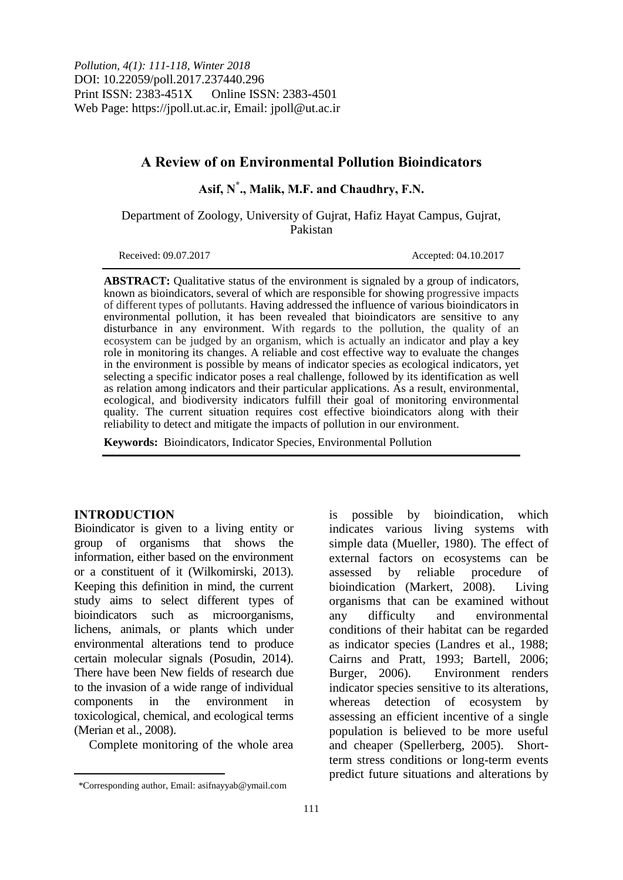# **A Review of on Environmental Pollution Bioindicators**

**Asif, N\* ., Malik, M.F. and Chaudhry, F.N.**

Department of Zoology, University of Gujrat, Hafiz Hayat Campus, Gujrat, Pakistan

Received: 09.07.2017 Accepted: 04.10.2017

**ABSTRACT:** Qualitative status of the environment is signaled by a group of indicators, known as bioindicators, several of which are responsible for showing progressive impacts of different types of pollutants. Having addressed the influence of various bioindicators in environmental pollution, it has been revealed that bioindicators are sensitive to any disturbance in any environment. With regards to the pollution, the quality of an ecosystem can be judged by an organism, which is actually an indicator and play a key role in monitoring its changes. A reliable and cost effective way to evaluate the changes in the environment is possible by means of indicator species as ecological indicators, yet selecting a specific indicator poses a real challenge, followed by its identification as well as relation among indicators and their particular applications. As a result, environmental, ecological, and biodiversity indicators fulfill their goal of monitoring environmental quality. The current situation requires cost effective bioindicators along with their reliability to detect and mitigate the impacts of pollution in our environment.

**Keywords:** Bioindicators, Indicator Species, Environmental Pollution

#### **INTRODUCTION**

 $\overline{a}$ 

Bioindicator is given to a living entity or group of organisms that shows the information, either based on the environment or a constituent of it (Wilkomirski, 2013). Keeping this definition in mind, the current study aims to select different types of bioindicators such as microorganisms, lichens, animals, or plants which under environmental alterations tend to produce certain molecular signals (Posudin, 2014). There have been New fields of research due to the invasion of a wide range of individual components in the environment in toxicological, chemical, and ecological terms (Merian et al., 2008).

Complete monitoring of the whole area

is possible by bioindication, which indicates various living systems with simple data (Mueller, 1980). The effect of external factors on ecosystems can be assessed by reliable procedure of bioindication (Markert, 2008). Living organisms that can be examined without any difficulty and environmental conditions of their habitat can be regarded as indicator species (Landres et al., 1988; Cairns and Pratt, 1993; Bartell, 2006; Burger, 2006). Environment renders indicator species sensitive to its alterations, whereas detection of ecosystem by assessing an efficient incentive of a single population is believed to be more useful and cheaper (Spellerberg, 2005). Shortterm stress conditions or long-term events predict future situations and alterations by

<sup>\*</sup>Corresponding author, Email: asifnayyab@ymail.com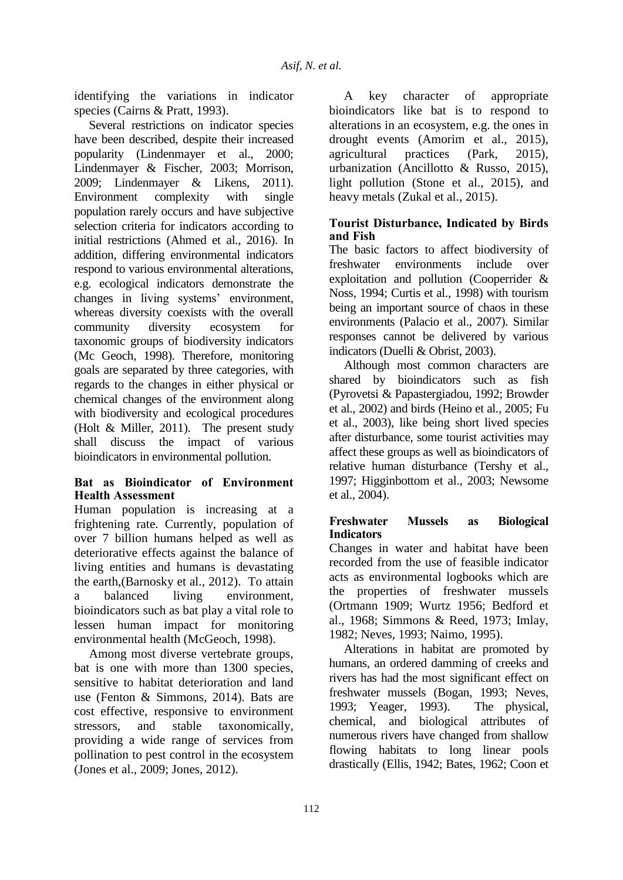identifying the variations in indicator species (Cairns & Pratt, 1993).

Several restrictions on indicator species have been described, despite their increased popularity (Lindenmayer et al., 2000; Lindenmayer & Fischer, 2003; Morrison, 2009; Lindenmayer & Likens, 2011). Environment complexity with single population rarely occurs and have subjective selection criteria for indicators according to initial restrictions (Ahmed et al., 2016). In addition, differing environmental indicators respond to various environmental alterations, e.g. ecological indicators demonstrate the changes in living systems' environment, whereas diversity coexists with the overall community diversity ecosystem for taxonomic groups of biodiversity indicators (Mc Geoch, 1998). Therefore, monitoring goals are separated by three categories, with regards to the changes in either physical or chemical changes of the environment along with biodiversity and ecological procedures (Holt & Miller, 2011). The present study shall discuss the impact of various bioindicators in environmental pollution.

#### **Bat as Bioindicator of Environment Health Assessment**

Human population is increasing at a frightening rate. Currently, population of over 7 billion humans helped as well as deteriorative effects against the balance of living entities and humans is devastating the earth,(Barnosky et al., 2012). To attain a balanced living environment, bioindicators such as bat play a vital role to lessen human impact for monitoring environmental health (McGeoch, 1998).

Among most diverse vertebrate groups, bat is one with more than 1300 species, sensitive to habitat deterioration and land use (Fenton & Simmons, 2014). Bats are cost effective, responsive to environment stressors, and stable taxonomically, providing a wide range of services from pollination to pest control in the ecosystem (Jones et al., 2009; Jones, 2012).

A key character of appropriate bioindicators like bat is to respond to alterations in an ecosystem, e.g. the ones in drought events (Amorim et al., 2015), agricultural practices (Park, 2015), urbanization (Ancillotto & Russo, 2015), light pollution (Stone et al., 2015), and heavy metals (Zukal et al., 2015).

## **Tourist Disturbance, Indicated by Birds and Fish**

The basic factors to affect biodiversity of freshwater environments include over exploitation and pollution (Cooperrider & Noss, 1994; Curtis et al., 1998) with tourism being an important source of chaos in these environments (Palacio et al., 2007). Similar responses cannot be delivered by various indicators (Duelli & Obrist, 2003).

Although most common characters are shared by bioindicators such as fish (Pyrovetsi & Papastergiadou, 1992; Browder et al., 2002) and birds (Heino et al*.,* 2005; Fu et al., 2003), like being short lived species after disturbance, some tourist activities may affect these groups as well as bioindicators of relative human disturbance (Tershy et al., 1997; Higginbottom et al., 2003; Newsome et al., 2004).

## **Freshwater Mussels as Biological Indicators**

Changes in water and habitat have been recorded from the use of feasible indicator acts as environmental logbooks which are the properties of freshwater mussels (Ortmann 1909; Wurtz 1956; Bedford et al., 1968; Simmons & Reed, 1973; Imlay, 1982; Neves, 1993; Naimo, 1995).

Alterations in habitat are promoted by humans, an ordered damming of creeks and rivers has had the most significant effect on freshwater mussels (Bogan, 1993; Neves, 1993; Yeager, 1993). The physical, chemical, and biological attributes of numerous rivers have changed from shallow flowing habitats to long linear pools drastically (Ellis, 1942; Bates, 1962; Coon et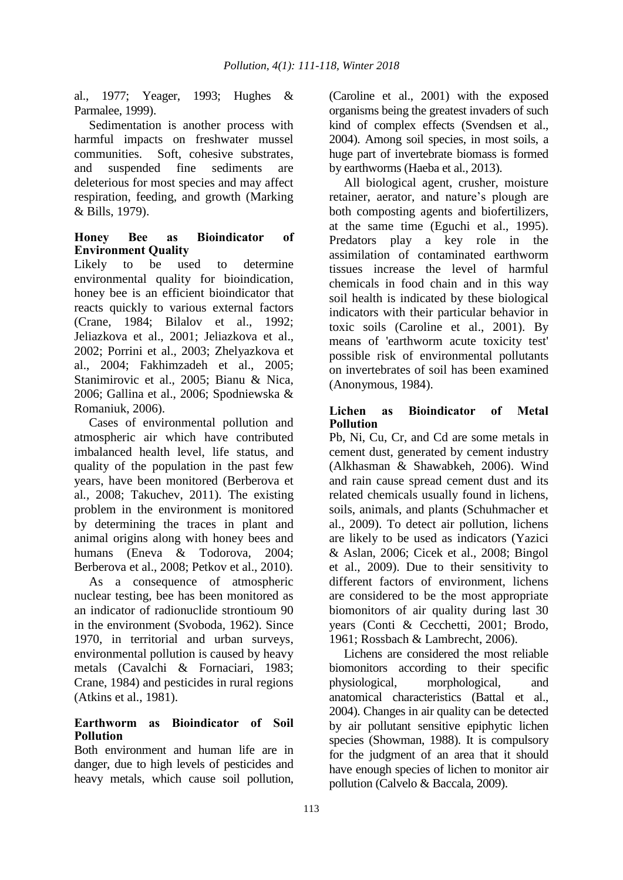al., 1977; Yeager, 1993; Hughes & Parmalee, 1999).

Sedimentation is another process with harmful impacts on freshwater mussel communities. Soft, cohesive substrates, and suspended fine sediments are deleterious for most species and may affect respiration, feeding, and growth (Marking & Bills, 1979).

#### **Honey Bee as Bioindicator of Environment Quality**

Likely to be used to determine environmental quality for bioindication, honey bee is an efficient bioindicator that reacts quickly to various external factors (Crane, 1984; Bilalov et al., 1992; Jeliazkova et al., 2001; Jeliazkova et al., 2002; Porrini et al., 2003; Zhelyazkova et al., 2004; Fakhimzadeh et al., 2005; Stanimirovic et al., 2005; Bianu & Nica, 2006; Gallina et al., 2006; Spodniewska & Romaniuk, 2006).

Cases of environmental pollution and atmospheric air which have contributed imbalanced health level, life status, and quality of the population in the past few years, have been monitored (Berberova et al*.,* 2008; Takuchev, 2011). The existing problem in the environment is monitored by determining the traces in plant and animal origins along with honey bees and humans (Eneva & Todorova, 2004; Berberova et al., 2008; Petkov et al., 2010).

As a consequence of atmospheric nuclear testing, bee has been monitored as an indicator of radionuclide strontioum 90 in the environment (Svoboda, 1962). Since 1970, in territorial and urban surveys, environmental pollution is caused by heavy metals (Cavalchi & Fornaciari, 1983; Crane, 1984) and pesticides in rural regions (Atkins et al., 1981).

## **Earthworm as Bioindicator of Soil Pollution**

Both environment and human life are in danger, due to high levels of pesticides and heavy metals, which cause soil pollution, (Caroline et al., 2001) with the exposed organisms being the greatest invaders of such kind of complex effects (Svendsen et al., 2004). Among soil species, in most soils, a huge part of invertebrate biomass is formed by earthworms (Haeba et al., 2013).

All biological agent, crusher, moisture retainer, aerator, and nature's plough are both composting agents and biofertilizers, at the same time (Eguchi et al., 1995). Predators play a key role in the assimilation of contaminated earthworm tissues increase the level of harmful chemicals in food chain and in this way soil health is indicated by these biological indicators with their particular behavior in toxic soils (Caroline et al., 2001). By means of 'earthworm acute toxicity test' possible risk of environmental pollutants on invertebrates of soil has been examined (Anonymous, 1984).

## **Lichen as Bioindicator of Metal Pollution**

Pb, Ni, Cu, Cr, and Cd are some metals in cement dust, generated by cement industry (Alkhasman & Shawabkeh, 2006). Wind and rain cause spread cement dust and its related chemicals usually found in lichens, soils, animals, and plants (Schuhmacher et al., 2009). To detect air pollution, lichens are likely to be used as indicators (Yazici & Aslan, 2006; Cicek et al., 2008; Bingol et al., 2009). Due to their sensitivity to different factors of environment, lichens are considered to be the most appropriate biomonitors of air quality during last 30 years (Conti & Cecchetti, 2001; Brodo, 1961; Rossbach & Lambrecht, 2006).

Lichens are considered the most reliable biomonitors according to their specific physiological, morphological, and anatomical characteristics (Battal et al., 2004). Changes in air quality can be detected by air pollutant sensitive epiphytic lichen species (Showman, 1988). It is compulsory for the judgment of an area that it should have enough species of lichen to monitor air pollution (Calvelo & Baccala, 2009).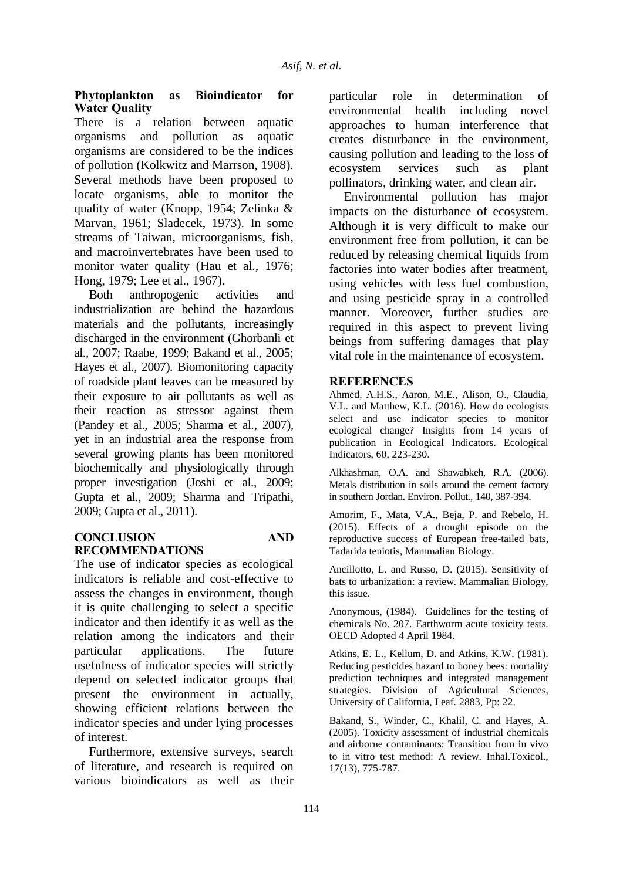#### **Phytoplankton as Bioindicator for Water Quality**

There is a relation between aquatic organisms and pollution as aquatic organisms are considered to be the indices of pollution (Kolkwitz and Marrson, 1908). Several methods have been proposed to locate organisms, able to monitor the quality of water (Knopp, 1954; Zelinka & Marvan, 1961; Sladecek, 1973). In some streams of Taiwan, microorganisms, fish, and macroinvertebrates have been used to monitor water quality (Hau et al., 1976; Hong, 1979; Lee et al., 1967).

Both anthropogenic activities and industrialization are behind the hazardous materials and the pollutants, increasingly discharged in the environment (Ghorbanli et al., 2007; Raabe, 1999; Bakand et al., 2005; Hayes et al., 2007). Biomonitoring capacity of roadside plant leaves can be measured by their exposure to air pollutants as well as their reaction as stressor against them (Pandey et al., 2005; Sharma et al., 2007), yet in an industrial area the response from several growing plants has been monitored biochemically and physiologically through proper investigation (Joshi et al., 2009; Gupta et al., 2009; Sharma and Tripathi, 2009; Gupta et al., 2011).

#### **CONCLUSION AND RECOMMENDATIONS**

The use of indicator species as ecological indicators is reliable and cost-effective to assess the changes in environment, though it is quite challenging to select a specific indicator and then identify it as well as the relation among the indicators and their particular applications. The future usefulness of indicator species will strictly depend on selected indicator groups that present the environment in actually, showing efficient relations between the indicator species and under lying processes of interest.

Furthermore, extensive surveys, search of literature, and research is required on various bioindicators as well as their

particular role in determination of environmental health including novel approaches to human interference that creates disturbance in the environment, causing pollution and leading to the loss of ecosystem services such as plant pollinators, drinking water, and clean air.

Environmental pollution has major impacts on the disturbance of ecosystem. Although it is very difficult to make our environment free from pollution, it can be reduced by releasing chemical liquids from factories into water bodies after treatment, using vehicles with less fuel combustion, and using pesticide spray in a controlled manner. Moreover, further studies are required in this aspect to prevent living beings from suffering damages that play vital role in the maintenance of ecosystem.

#### **REFERENCES**

Ahmed, A.H.S., Aaron, M.E., Alison, O., Claudia, V.L. and Matthew, K.L. (2016). How do ecologists select and use indicator species to monitor ecological change? Insights from 14 years of publication in Ecological Indicators. Ecological Indicators, 60, 223-230.

Alkhashman, O.A. and Shawabkeh, R.A. (2006). Metals distribution in soils around the cement factory in southern Jordan. Environ. Pollut., 140, 387-394.

Amorim, F., Mata, V.A., Beja, P. and Rebelo, H. (2015). Effects of a drought episode on the reproductive success of European free-tailed bats, Tadarida teniotis, Mammalian Biology.

Ancillotto, L. and Russo, D. (2015). Sensitivity of bats to urbanization: a review. Mammalian Biology, this issue.

Anonymous, (1984). Guidelines for the testing of chemicals No. 207. Earthworm acute toxicity tests. OECD Adopted 4 April 1984.

Atkins, E. L., Kellum, D. and Atkins, K.W. (1981). Reducing pesticides hazard to honey bees: mortality prediction techniques and integrated management strategies. Division of Agricultural Sciences, University of California, Leaf. 2883, Pp: 22.

Bakand, S., Winder, C., Khalil, C. and Hayes, A. (2005). Toxicity assessment of industrial chemicals and airborne contaminants: Transition from in vivo to in vitro test method: A review. Inhal.Toxicol., 17(13), 775-787.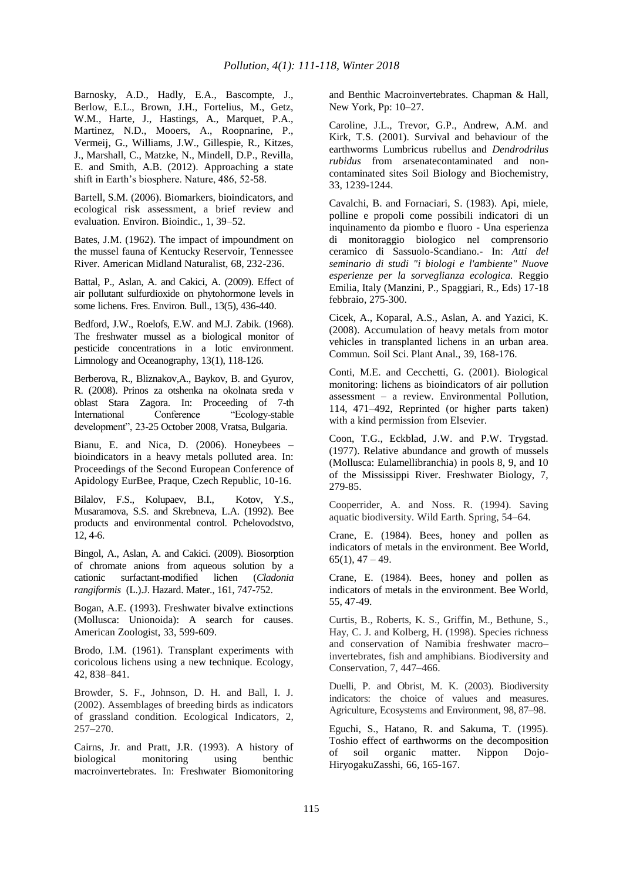Barnosky, A.D., Hadly, E.A., Bascompte, J., Berlow, E.L., Brown, J.H., Fortelius, M., Getz, W.M., Harte, J., Hastings, A., Marquet, P.A., Martinez, N.D., Mooers, A., Roopnarine, P., Vermeij, G., Williams, J.W., Gillespie, R., Kitzes, J., Marshall, C., Matzke, N., Mindell, D.P., Revilla, E. and Smith, A.B. (2012). Approaching a state shift in Earth's biosphere. Nature, 486, 52-58.

Bartell, S.M. (2006). Biomarkers, bioindicators, and ecological risk assessment, a brief review and evaluation. Environ. Bioindic., 1, 39–52.

Bates, J.M. (1962). The impact of impoundment on the mussel fauna of Kentucky Reservoir, Tennessee River. American Midland Naturalist, 68, 232-236.

Battal, P., Aslan, A. and Cakici, A. (2009). Effect of air pollutant sulfurdioxide on phytohormone levels in some lichens. Fres. Environ. Bull., 13(5), 436-440.

Bedford, J.W., Roelofs, E.W. and M.J. Zabik. (1968). The freshwater mussel as a biological monitor of pesticide concentrations in a lotic environment. Limnology and Oceanography, 13(1), 118-126.

Berberova, R., Bliznakov,A., Baykov, B. and Gyurov, R. (2008). Prinos za otshenka na okolnata sreda v oblast Stara Zagora. In: Proceeding of 7-th International Conference "Ecology-stable development", 23-25 October 2008, Vratsa, Bulgaria.

Bianu, E. and Nica, D. (2006). Honeybees – bioindicators in a heavy metals polluted area. In: Proceedings of the Second European Conference of Apidology EurBee, Praque, Czech Republic, 10-16.

Bilalov, F.S., Kolupaev, B.I., Kotov, Y.S., Musaramova, S.S. and Skrebneva, L.A. (1992). Bee products and environmental control. Pchelovodstvo, 12, 4-6.

Bingol, A., Aslan, A. and Cakici. (2009). Biosorption of chromate anions from aqueous solution by a cationic surfactant-modified lichen (*Cladonia rangiformis* (L.).J. Hazard. Mater., 161, 747-752.

Bogan, A.E. (1993). Freshwater bivalve extinctions (Mollusca: Unionoida): A search for causes. American Zoologist, 33, 599-609.

Brodo, I.M. (1961). Transplant experiments with coricolous lichens using a new technique. Ecology, 42, 838–841.

Browder, S. F., Johnson, D. H. and Ball, I. J. (2002). Assemblages of breeding birds as indicators of grassland condition. Ecological Indicators*,* 2, 257–270.

Cairns, Jr. and Pratt, J.R. (1993). A history of biological monitoring using benthic macroinvertebrates. In: Freshwater Biomonitoring and Benthic Macroinvertebrates. Chapman & Hall, New York, Pp: 10–27.

Caroline, J.L., Trevor, G.P., Andrew, A.M. and Kirk, T.S. (2001). Survival and behaviour of the earthworms Lumbricus rubellus and *Dendrodrilus rubidus* from arsenatecontaminated and noncontaminated sites Soil Biology and Biochemistry, 33, 1239-1244.

Cavalchi, B. and Fornaciari, S. (1983). Api, miele, polline e propoli come possibili indicatori di un inquinamento da piombo e fluoro - Una esperienza di monitoraggio biologico nel comprensorio ceramico di Sassuolo-Scandiano.- In: *Atti del seminario di studi "i biologi e l'ambiente" Nuove esperienze per la sorveglianza ecologica.* Reggio Emilia, Italy (Manzini, P., Spaggiari, R., Eds) 17-18 febbraio, 275-300.

Cicek, A., Koparal, A.S., Aslan, A. and Yazici, K. (2008). Accumulation of heavy metals from motor vehicles in transplanted lichens in an urban area. Commun. Soil Sci. Plant Anal., 39, 168-176.

Conti, M.E. and Cecchetti, G. (2001). Biological monitoring: lichens as bioindicators of air pollution assessment – a review. Environmental Pollution, 114, 471–492, Reprinted (or higher parts taken) with a kind permission from Elsevier.

Coon, T.G., Eckblad, J.W. and P.W. Trygstad. (1977). Relative abundance and growth of mussels (Mollusca: Eulamellibranchia) in pools 8, 9, and 10 of the Mississippi River. Freshwater Biology, 7, 279-85.

Cooperrider, A. and Noss. R. (1994). Saving aquatic biodiversity. Wild Earth. Spring, 54–64.

Crane, E. (1984). Bees, honey and pollen as indicators of metals in the environment. Bee World,  $65(1)$ ,  $47 - 49$ .

Crane, E. (1984). Bees, honey and pollen as indicators of metals in the environment. Bee World, 55, 47-49.

Curtis, B., Roberts, K. S., Griffin, M., Bethune, S., Hay, C. J. and Kolberg, H. (1998). Species richness and conservation of Namibia freshwater macro– invertebrates, fish and amphibians. Biodiversity and Conservation, 7, 447–466.

Duelli, P. and Obrist, M. K. (2003). Biodiversity indicators: the choice of values and measures. Agriculture, Ecosystems and Environment, 98, 87–98.

Eguchi, S., Hatano, R. and Sakuma, T. (1995). Toshio effect of earthworms on the decomposition of soil organic matter. Nippon Dojo-HiryogakuZasshi, 66, 165-167.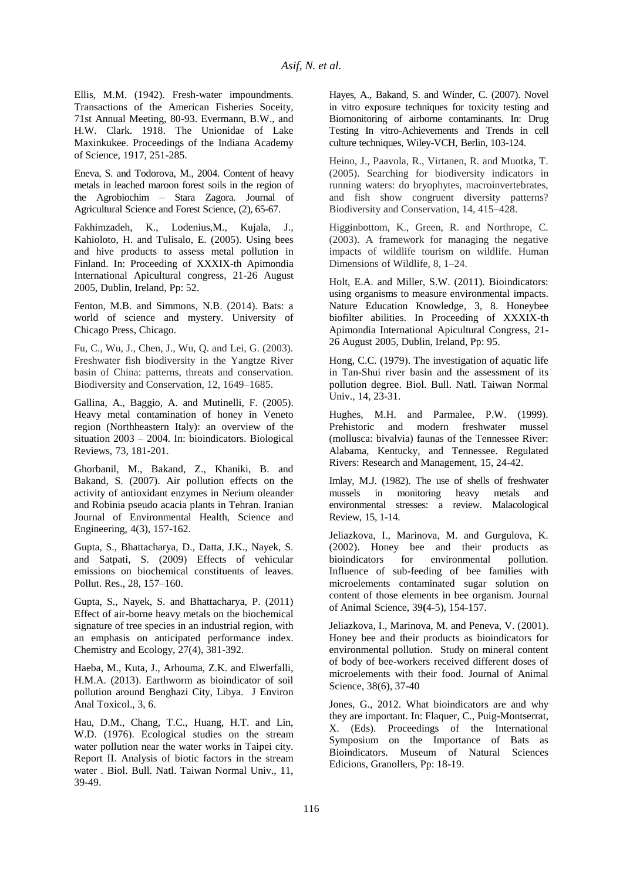Ellis, M.M. (1942). Fresh-water impoundments. Transactions of the American Fisheries Soceity, 71st Annual Meeting, 80-93. Evermann, B.W., and H.W. Clark. 1918. The Unionidae of Lake Maxinkukee. Proceedings of the Indiana Academy of Science, 1917, 251-285.

Eneva, S. and Todorova, M., 2004. Content of heavy metals in leached maroon forest soils in the region of the Agrobiochim – Stara Zagora. Journal of Agricultural Science and Forest Science, (2), 65-67.

Fakhimzadeh, K., Lodenius,M., Kujala, J., Kahioloto, H. and Tulisalo, E. (2005). Using bees and hive products to assess metal pollution in Finland. In: Proceeding of XXXIX-th Apimondia International Apicultural congress, 21-26 August 2005, Dublin, Ireland, Pp: 52.

Fenton, M.B. and Simmons, N.B. (2014). Bats: a world of science and mystery. University of Chicago Press, Chicago.

Fu, C., Wu, J., Chen, J., Wu, Q. and Lei, G. (2003). Freshwater fish biodiversity in the Yangtze River basin of China: patterns, threats and conservation. Biodiversity and Conservation, 12, 1649–1685.

Gallina, A., Baggio, A. and Mutinelli, F. (2005). Heavy metal contamination of honey in Veneto region (Northheastern Italy): an overview of the situation 2003 – 2004. In: bioindicators. Biological Reviews, 73, 181-201.

Ghorbanil, M., Bakand, Z., Khaniki, B. and Bakand, S. (2007). Air pollution effects on the activity of antioxidant enzymes in Nerium oleander and Robinia pseudo acacia plants in Tehran. Iranian Journal of Environmental Health, Science and Engineering, 4(3), 157-162.

Gupta, S., Bhattacharya, D., Datta, J.K., Nayek, S. and Satpati, S. (2009) Effects of vehicular emissions on biochemical constituents of leaves. Pollut. Res., 28, 157–160.

Gupta, S., Nayek, S. and Bhattacharya, P. (2011) Effect of air-borne heavy metals on the biochemical signature of tree species in an industrial region, with an emphasis on anticipated performance index. Chemistry and Ecology, 27(4), 381-392.

Haeba, M., Kuta, J., Arhouma, Z.K. and Elwerfalli, H.M.A. (2013). Earthworm as bioindicator of soil pollution around Benghazi City, Libya. J Environ Anal Toxicol., 3, 6.

Hau, D.M., Chang, T.C., Huang, H.T. and Lin, W.D. (1976). Ecological studies on the stream water pollution near the water works in Taipei city. Report II. Analysis of biotic factors in the stream water . Biol. Bull. Natl. Taiwan Normal Univ., 11, 39-49.

Hayes, A., Bakand, S. and Winder, C. (2007). Novel in vitro exposure techniques for toxicity testing and Biomonitoring of airborne contaminants. In: Drug Testing In vitro-Achievements and Trends in cell culture techniques, Wiley-VCH, Berlin, 103-124.

Heino, J., Paavola, R., Virtanen, R. and Muotka, T. (2005). Searching for biodiversity indicators in running waters: do bryophytes, macroinvertebrates, and fish show congruent diversity patterns? Biodiversity and Conservation, 14, 415–428.

Higginbottom, K., Green, R. and Northrope, C. (2003). A framework for managing the negative impacts of wildlife tourism on wildlife. Human Dimensions of Wildlife, 8, 1–24.

Holt, E.A. and Miller, S.W. (2011). Bioindicators: using organisms to measure environmental impacts. Nature Education Knowledge*,* 3, 8. Honeybee biofilter abilities. In Proceeding of XXXIX-th Apimondia International Apicultural Congress, 21- 26 August 2005, Dublin, Ireland, Pp: 95.

Hong, C.C. (1979). The investigation of aquatic life in Tan-Shui river basin and the assessment of its pollution degree. Biol. Bull. Natl. Taiwan Normal Univ., 14, 23-31.

Hughes, M.H. and Parmalee, P.W. (1999). Prehistoric and modern freshwater mussel (mollusca: bivalvia) faunas of the Tennessee River: Alabama, Kentucky, and Tennessee. Regulated Rivers: Research and Management, 15, 24-42.

Imlay, M.J. (1982). The use of shells of freshwater mussels in monitoring heavy metals and environmental stresses: a review. Malacological Review, 15, 1-14.

Jeliazkova, I., Marinova, M. and Gurgulova, K. (2002). Honey bee and their products as bioindicators for environmental pollution. Influence of sub-feeding of bee families with microelements contaminated sugar solution on content of those elements in bee organism. Journal of Animal Science, 39**(**4-5), 154-157.

Jeliazkova, I., Marinova, M. and Peneva, V. (2001). Honey bee and their products as bioindicators for environmental pollution. Study on mineral content of body of bee-workers received different doses of microelements with their food. Journal of Animal Science, 38(6), 37-40

Jones, G., 2012. What bioindicators are and why they are important. In: Flaquer, C., Puig-Montserrat, X. (Eds). Proceedings of the International Symposium on the Importance of Bats as Bioindicators. Museum of Natural Sciences Edicions, Granollers, Pp: 18-19.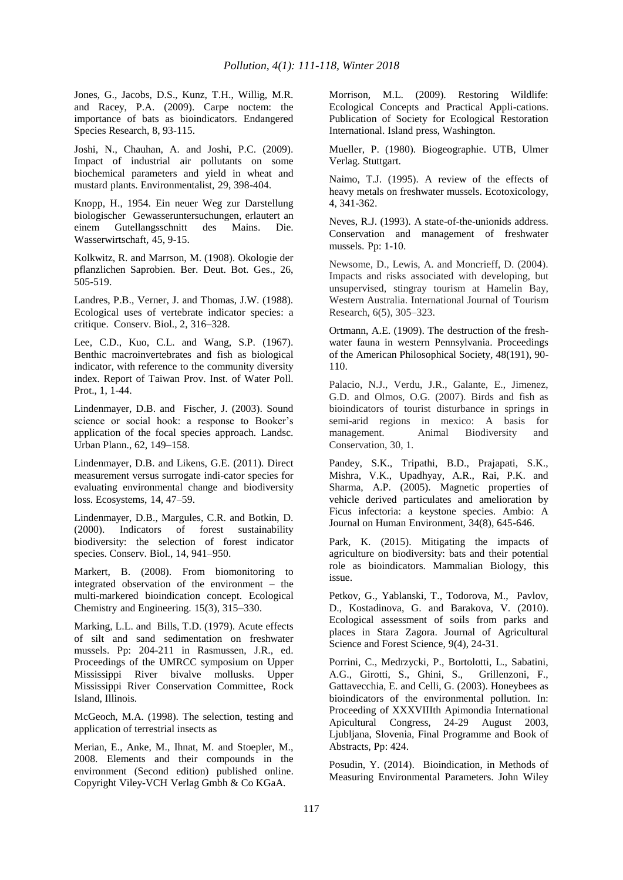Jones, G., Jacobs, D.S., Kunz, T.H., Willig, M.R. and Racey, P.A. (2009). Carpe noctem: the importance of bats as bioindicators. Endangered Species Research*,* 8, 93-115.

Joshi, N., Chauhan, A. and Joshi, P.C. (2009). Impact of industrial air pollutants on some biochemical parameters and yield in wheat and mustard plants. Environmentalist, 29, 398-404.

Knopp, H., 1954. Ein neuer Weg zur Darstellung biologischer Gewasseruntersuchungen, erlautert an einem Gutellangsschnitt des Mains. Die. einem Gutellangsschnitt des Mains. Die. Wasserwirtschaft, 45, 9-15.

Kolkwitz, R. and Marrson, M. (1908). Okologie der pflanzlichen Saprobien. Ber. Deut. Bot. Ges., 26, 505-519.

Landres, P.B., Verner, J. and Thomas, J.W. (1988). Ecological uses of vertebrate indicator species: a critique. Conserv. Biol., 2, 316–328.

Lee, C.D., Kuo, C.L. and Wang, S.P. (1967). Benthic macroinvertebrates and fish as biological indicator, with reference to the community diversity index. Report of Taiwan Prov. Inst. of Water Poll. Prot., 1, 1-44.

Lindenmayer, D.B. and Fischer, J. (2003). Sound science or social hook: a response to Booker's application of the focal species approach. Landsc. Urban Plann., 62, 149–158.

Lindenmayer, D.B. and Likens, G.E. (2011). Direct measurement versus surrogate indi-cator species for evaluating environmental change and biodiversity loss. Ecosystems, 14, 47–59.

Lindenmayer, D.B., Margules, C.R. and Botkin, D. (2000). Indicators of forest sustainability biodiversity: the selection of forest indicator species. Conserv. Biol., 14, 941–950.

Markert, B. (2008). From biomonitoring to integrated observation of the environment – the multi-markered bioindication concept. Ecological Chemistry and Engineering. 15(3), 315–330.

Marking, L.L. and Bills, T.D. (1979). Acute effects of silt and sand sedimentation on freshwater mussels. Pp: 204-211 in Rasmussen, J.R., ed. Proceedings of the UMRCC symposium on Upper Mississippi River bivalve mollusks. Upper Mississippi River Conservation Committee, Rock Island, Illinois.

McGeoch, M.A. (1998). The selection, testing and application of terrestrial insects as

Merian, E., Anke, M., Ihnat, M. and Stoepler, M., 2008. Elements and their compounds in the environment (Second edition) published online. Copyright Viley-VCH Verlag Gmbh & Co KGaA.

Morrison, M.L. (2009). Restoring Wildlife: Ecological Concepts and Practical Appli-cations. Publication of Society for Ecological Restoration International. Island press, Washington.

Mueller, P. (1980). Biogeographie. UTB, Ulmer Verlag. Stuttgart.

Naimo, T.J. (1995). A review of the effects of heavy metals on freshwater mussels. Ecotoxicology, 4, 341-362.

Neves, R.J. (1993). A state-of-the-unionids address. Conservation and management of freshwater mussels. Pp: 1-10.

Newsome, D., Lewis, A. and Moncrieff, D. (2004). Impacts and risks associated with developing, but unsupervised, stingray tourism at Hamelin Bay, Western Australia. International Journal of Tourism Research*,* 6(5), 305–323.

Ortmann, A.E. (1909). The destruction of the freshwater fauna in western Pennsylvania. Proceedings of the American Philosophical Society*,* 48(191), 90- 110.

Palacio, N.J., Verdu, J.R., Galante, E., Jimenez, G.D. and Olmos, O.G. (2007). Birds and fish as bioindicators of tourist disturbance in springs in semi-arid regions in mexico: A basis for management. Animal Biodiversity and Conservation, 30, 1.

Pandey, S.K., Tripathi, B.D., Prajapati, S.K., Mishra, V.K., Upadhyay, A.R., Rai, P.K. and Sharma, A.P. (2005). Magnetic properties of vehicle derived particulates and amelioration by Ficus infectoria: a keystone species. Ambio: A Journal on Human Environment, 34(8), 645-646.

Park, K. (2015). Mitigating the impacts of agriculture on biodiversity: bats and their potential role as bioindicators. Mammalian Biology, this issue.

Petkov, G., Yablanski, T., Todorova, M., Pavlov, D., Kostadinova, G. and Barakova, V. (2010). Ecological assessment of soils from parks and places in Stara Zagora. Journal of Agricultural Science and Forest Science, 9(4), 24-31.

Porrini, C., Medrzycki, P., Bortolotti, L., Sabatini, A.G., Girotti, S., Ghini, S., Grillenzoni, F., Gattavecchia, E. and Celli, G. (2003). Honeybees as bioindicators of the environmental pollution. In: Proceeding of XXXVIIIth Apimondia International Apicultural Congress, 24-29 August 2003, Ljubljana, Slovenia, Final Programme and Book of Abstracts, Pp: 424.

Posudin, Y. (2014). Bioindication, in Methods of Measuring Environmental Parameters. John Wiley